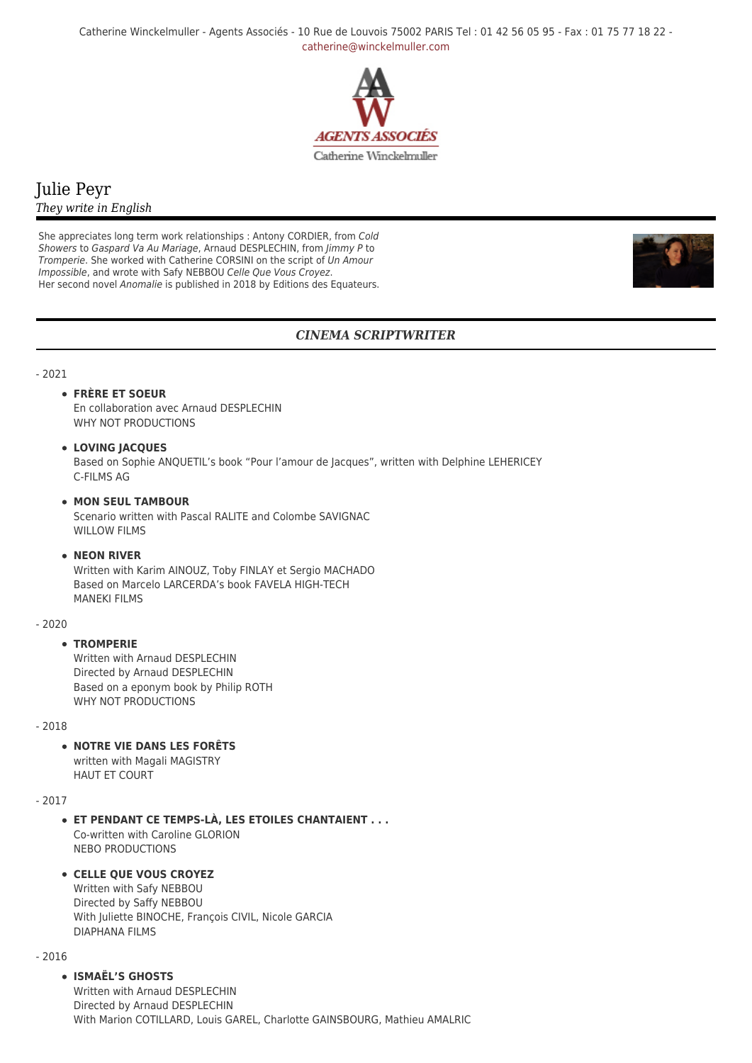Catherine Winckelmuller - Agents Associés - 10 Rue de Louvois 75002 PARIS Tel : 01 42 56 05 95 - Fax : 01 75 77 18 22 [catherine@winckelmuller.com](mailto:catherine@winckelmuller.com)



# Julie Peyr *They write in English*

She appreciates long term work relationships : Antony CORDIER, from Cold Showers to Gaspard Va Au Mariage, Arnaud DESPLECHIN, from Jimmy P to Tromperie. She worked with Catherine CORSINI on the script of Un Amour Impossible, and wrote with Safy NEBBOU Celle Que Vous Croyez. Her second novel Anomalie is published in 2018 by Editions des Equateurs.



## *CINEMA SCRIPTWRITER*

### - 2021

## **FRÈRE ET SOEUR**

En collaboration avec Arnaud DESPLECHIN WHY NOT PRODUCTIONS

## **LOVING JACQUES**

Based on Sophie ANQUETIL's book "Pour l'amour de Jacques", written with Delphine LEHERICEY C-FILMS AG

### **MON SEUL TAMBOUR**

Scenario written with Pascal RALITE and Colombe SAVIGNAC WILLOW FILMS

#### **NEON RIVER**

Written with Karim AINOUZ, Toby FINLAY et Sergio MACHADO Based on Marcelo LARCERDA's book FAVELA HIGH-TECH MANEKI FILMS

#### - 2020

## **TROMPERIE**

Written with Arnaud DESPLECHIN Directed by Arnaud DESPLECHIN Based on a eponym book by Philip ROTH WHY NOT PRODUCTIONS

#### - 2018

**NOTRE VIE DANS LES FORÊTS**

written with Magali MAGISTRY HAUT ET COURT

#### - 2017

**ET PENDANT CE TEMPS-LÀ, LES ETOILES CHANTAIENT . . .** Co-written with Caroline GLORION NEBO PRODUCTIONS

#### **CELLE QUE VOUS CROYEZ**

Written with Safy NEBBOU Directed by Saffy NEBBOU With Juliette BINOCHE, François CIVIL, Nicole GARCIA DIAPHANA FILMS

- 2016

## **ISMAËL'S GHOSTS**

Written with Arnaud DESPLECHIN Directed by Arnaud DESPLECHIN With Marion COTILLARD, Louis GAREL, Charlotte GAINSBOURG, Mathieu AMALRIC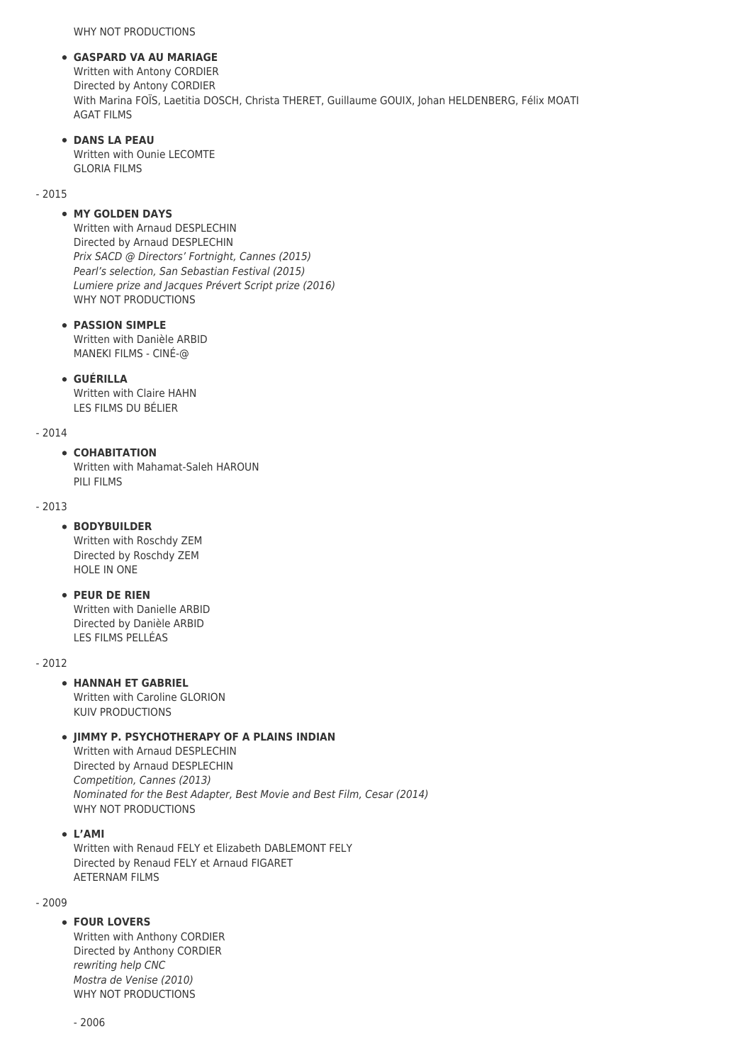WHY NOT PRODUCTIONS

### **GASPARD VA AU MARIAGE**

Written with Antony CORDIER Directed by Antony CORDIER With Marina FOÏS, Laetitia DOSCH, Christa THERET, Guillaume GOUIX, Johan HELDENBERG, Félix MOATI AGAT FILMS

## **DANS LA PEAU**

Written with Ounie LECOMTE GLORIA FILMS

- 2015

## **MY GOLDEN DAYS**

Written with Arnaud DESPLECHIN Directed by Arnaud DESPLECHIN Prix SACD @ Directors' Fortnight, Cannes (2015) Pearl's selection, San Sebastian Festival (2015) Lumiere prize and Jacques Prévert Script prize (2016) WHY NOT PRODUCTIONS

## **PASSION SIMPLE**

Written with Danièle ARBID MANEKI FILMS - CINÉ-@

### **GUÉRILLA**

Written with Claire HAHN LES FILMS DU BÉLIER

#### - 2014

### **COHABITATION**

Written with Mahamat-Saleh HAROUN PILI FILMS

### - 2013

## **BODYBUILDER**

Written with Roschdy ZEM Directed by Roschdy ZEM HOLE IN ONE

## **PEUR DE RIEN**

Written with Danielle ARBID Directed by Danièle ARBID LES FILMS PELLÉAS

- 2012

## **HANNAH ET GABRIEL**

Written with Caroline GLORION KUIV PRODUCTIONS

## **JIMMY P. PSYCHOTHERAPY OF A PLAINS INDIAN**

Written with Arnaud DESPLECHIN Directed by Arnaud DESPLECHIN Competition, Cannes (2013) Nominated for the Best Adapter, Best Movie and Best Film, Cesar (2014) WHY NOT PRODUCTIONS

**L'AMI**

Written with Renaud FELY et Elizabeth DABLEMONT FELY Directed by Renaud FELY et Arnaud FIGARET AETERNAM FILMS

#### - 2009

## **FOUR LOVERS**

Written with Anthony CORDIER Directed by Anthony CORDIER rewriting help CNC Mostra de Venise (2010) WHY NOT PRODUCTIONS